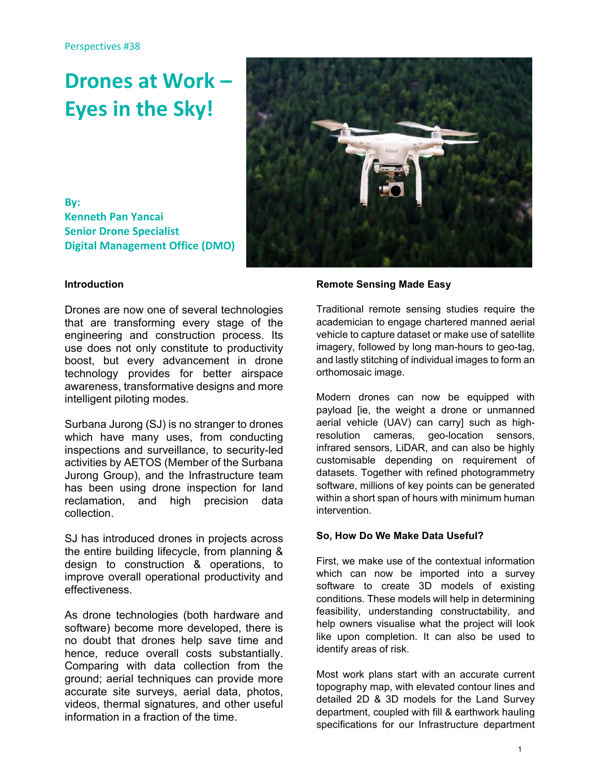# **Drones at Work – Eyes in the Sky!**

**By: Kenneth Pan Yancai Senior Drone Specialist Digital Management Office (DMO)**



## **Introduction**

Drones are now one of several technologies that are transforming every stage of the engineering and construction process. Its use does not only constitute to productivity boost, but every advancement in drone technology provides for better airspace awareness, transformative designs and more intelligent piloting modes.

Surbana Jurong (SJ) is no stranger to drones which have many uses, from conducting inspections and surveillance, to security-led activities by AETOS (Member of the Surbana Jurong Group), and the Infrastructure team has been using drone inspection for land reclamation, and high precision data collection.

SJ has introduced drones in projects across the entire building lifecycle, from planning & design to construction & operations, to improve overall operational productivity and effectiveness.

As drone technologies (both hardware and software) become more developed, there is no doubt that drones help save time and hence, reduce overall costs substantially. Comparing with data collection from the ground; aerial techniques can provide more accurate site surveys, aerial data, photos, videos, thermal signatures, and other useful information in a fraction of the time.

### **Remote Sensing Made Easy**

Traditional remote sensing studies require the academician to engage chartered manned aerial vehicle to capture dataset or make use of satellite imagery, followed by long man-hours to geo-tag, and lastly stitching of individual images to form an orthomosaic image.

Modern drones can now be equipped with payload [ie, the weight a drone or unmanned aerial vehicle (UAV) can carry] such as highresolution cameras, geo-location sensors, infrared sensors, LiDAR, and can also be highly customisable depending on requirement of datasets. Together with refined photogrammetry software, millions of key points can be generated within a short span of hours with minimum human intervention.

# **So, How Do We Make Data Useful?**

First, we make use of the contextual information which can now be imported into a survey software to create 3D models of existing conditions. These models will help in determining feasibility, understanding constructability, and help owners visualise what the project will look like upon completion. It can also be used to identify areas of risk.

Most work plans start with an accurate current topography map, with elevated contour lines and detailed 2D & 3D models for the Land Survey department, coupled with fill & earthwork hauling specifications for our Infrastructure department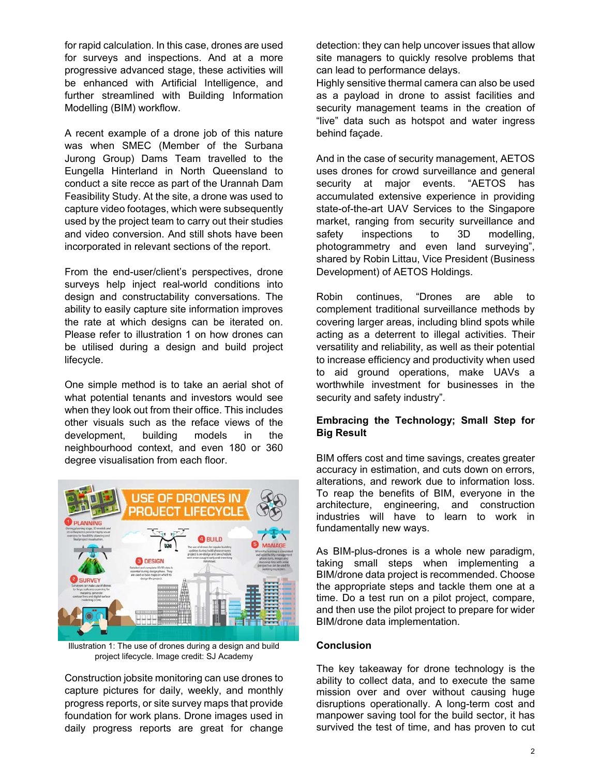for rapid calculation. In this case, drones are used for surveys and inspections. And at a more progressive advanced stage, these activities will be enhanced with Artificial Intelligence, and further streamlined with Building Information Modelling (BIM) workflow.

A recent example of a drone job of this nature was when SMEC (Member of the Surbana Jurong Group) Dams Team travelled to the Eungella Hinterland in North Queensland to conduct a site recce as part of the Urannah Dam Feasibility Study. At the site, a drone was used to capture video footages, which were subsequently used by the project team to carry out their studies and video conversion. And still shots have been incorporated in relevant sections of the report.

From the end-user/client's perspectives, drone surveys help inject real-world conditions into design and constructability conversations. The ability to easily capture site information improves the rate at which designs can be iterated on. Please refer to illustration 1 on how drones can be utilised during a design and build project lifecycle.

One simple method is to take an aerial shot of what potential tenants and investors would see when they look out from their office. This includes other visuals such as the reface views of the development, building models in the neighbourhood context, and even 180 or 360 degree visualisation from each floor.



Illustration 1: The use of drones during a design and build project lifecycle. Image credit: SJ Academy

Construction jobsite monitoring can use drones to capture pictures for daily, weekly, and monthly progress reports, or site survey maps that provide foundation for work plans. Drone images used in daily progress reports are great for change detection: they can help uncover issues that allow site managers to quickly resolve problems that can lead to performance delays.

Highly sensitive thermal camera can also be used as a payload in drone to assist facilities and security management teams in the creation of "live" data such as hotspot and water ingress behind façade.

And in the case of security management, AETOS uses drones for crowd surveillance and general security at major events. "AETOS has accumulated extensive experience in providing state-of-the-art UAV Services to the Singapore market, ranging from security surveillance and safety inspections to 3D modelling. photogrammetry and even land surveying", shared by Robin Littau, Vice President (Business Development) of AETOS Holdings.

Robin continues, "Drones are able to complement traditional surveillance methods by covering larger areas, including blind spots while acting as a deterrent to illegal activities. Their versatility and reliability, as well as their potential to increase efficiency and productivity when used to aid ground operations, make UAVs a worthwhile investment for businesses in the security and safety industry".

## **Embracing the Technology; Small Step for Big Result**

BIM offers cost and time savings, creates greater accuracy in estimation, and cuts down on errors, alterations, and rework due to information loss. To reap the benefits of BIM, everyone in the architecture, engineering, and construction industries will have to learn to work in fundamentally new ways.

As BIM-plus-drones is a whole new paradigm, taking small steps when implementing a BIM/drone data project is recommended. Choose the appropriate steps and tackle them one at a time. Do a test run on a pilot project, compare, and then use the pilot project to prepare for wider BIM/drone data implementation.

### **Conclusion**

The key takeaway for drone technology is the ability to collect data, and to execute the same mission over and over without causing huge disruptions operationally. A long-term cost and manpower saving tool for the build sector, it has survived the test of time, and has proven to cut